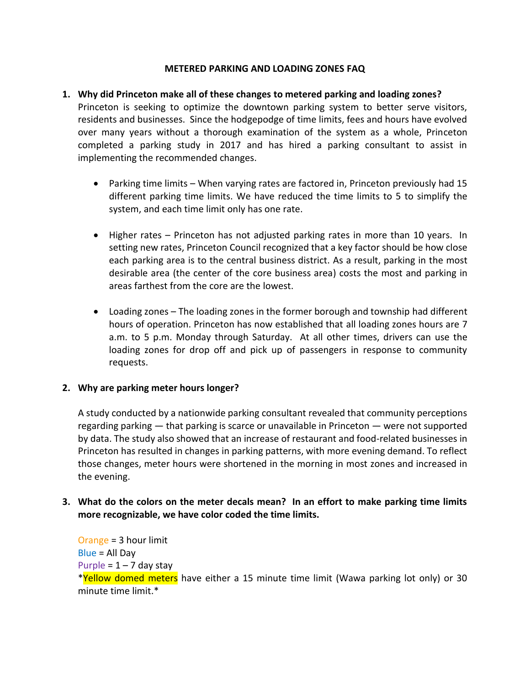#### **METERED PARKING AND LOADING ZONES FAQ**

#### **1. Why did Princeton make all of these changes to metered parking and loading zones?**

Princeton is seeking to optimize the downtown parking system to better serve visitors, residents and businesses. Since the hodgepodge of time limits, fees and hours have evolved over many years without a thorough examination of the system as a whole, Princeton completed a parking study in 2017 and has hired a parking consultant to assist in implementing the recommended changes.

- Parking time limits When varying rates are factored in, Princeton previously had 15 different parking time limits. We have reduced the time limits to 5 to simplify the system, and each time limit only has one rate.
- Higher rates Princeton has not adjusted parking rates in more than 10 years. In setting new rates, Princeton Council recognized that a key factor should be how close each parking area is to the central business district. As a result, parking in the most desirable area (the center of the core business area) costs the most and parking in areas farthest from the core are the lowest.
- Loading zones The loading zones in the former borough and township had different hours of operation. Princeton has now established that all loading zones hours are 7 a.m. to 5 p.m. Monday through Saturday. At all other times, drivers can use the loading zones for drop off and pick up of passengers in response to community requests.

#### **2. Why are parking meter hours longer?**

A study conducted by a nationwide parking consultant revealed that community perceptions regarding parking — that parking is scarce or unavailable in Princeton — were not supported by data. The study also showed that an increase of restaurant and food-related businesses in Princeton has resulted in changes in parking patterns, with more evening demand. To reflect those changes, meter hours were shortened in the morning in most zones and increased in the evening.

## **3. What do the colors on the meter decals mean? In an effort to make parking time limits more recognizable, we have color coded the time limits.**

Orange = 3 hour limit Blue = All Day Purple =  $1 - 7$  day stay \*Yellow domed meters have either a 15 minute time limit (Wawa parking lot only) or 30 minute time limit.\*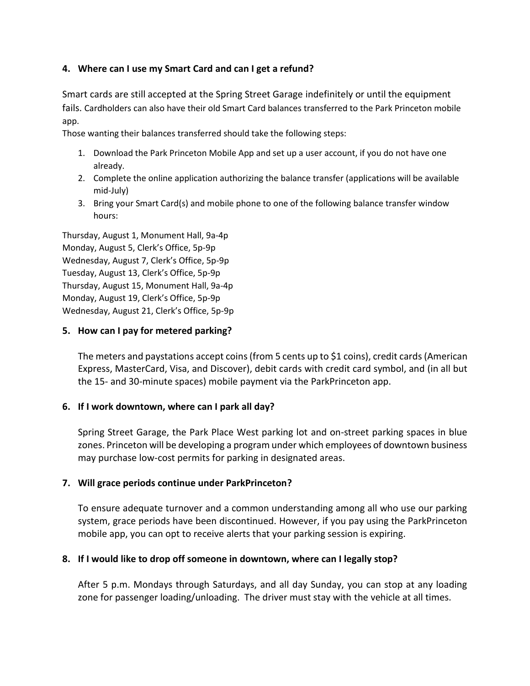#### **4. Where can I use my Smart Card and can I get a refund?**

Smart cards are still accepted at the Spring Street Garage indefinitely or until the equipment fails. Cardholders can also have their old Smart Card balances transferred to the Park Princeton mobile app.

Those wanting their balances transferred should take the following steps:

- 1. Download the Park Princeton Mobile App and set up a user account, if you do not have one already.
- 2. Complete the online application authorizing the balance transfer (applications will be available mid-July)
- 3. Bring your Smart Card(s) and mobile phone to one of the following balance transfer window hours:

Thursday, August 1, Monument Hall, 9a-4p Monday, August 5, Clerk's Office, 5p-9p Wednesday, August 7, Clerk's Office, 5p-9p Tuesday, August 13, Clerk's Office, 5p-9p Thursday, August 15, Monument Hall, 9a-4p Monday, August 19, Clerk's Office, 5p-9p Wednesday, August 21, Clerk's Office, 5p-9p

#### **5. How can I pay for metered parking?**

The meters and paystations accept coins (from 5 cents up to \$1 coins), credit cards(American Express, MasterCard, Visa, and Discover), debit cards with credit card symbol, and (in all but the 15- and 30-minute spaces) mobile payment via the ParkPrinceton app.

## **6. If I work downtown, where can I park all day?**

Spring Street Garage, the Park Place West parking lot and on-street parking spaces in blue zones. Princeton will be developing a program under which employees of downtown business may purchase low-cost permits for parking in designated areas.

## **7. Will grace periods continue under ParkPrinceton?**

To ensure adequate turnover and a common understanding among all who use our parking system, grace periods have been discontinued. However, if you pay using the ParkPrinceton mobile app, you can opt to receive alerts that your parking session is expiring.

## **8. If I would like to drop off someone in downtown, where can I legally stop?**

After 5 p.m. Mondays through Saturdays, and all day Sunday, you can stop at any loading zone for passenger loading/unloading. The driver must stay with the vehicle at all times.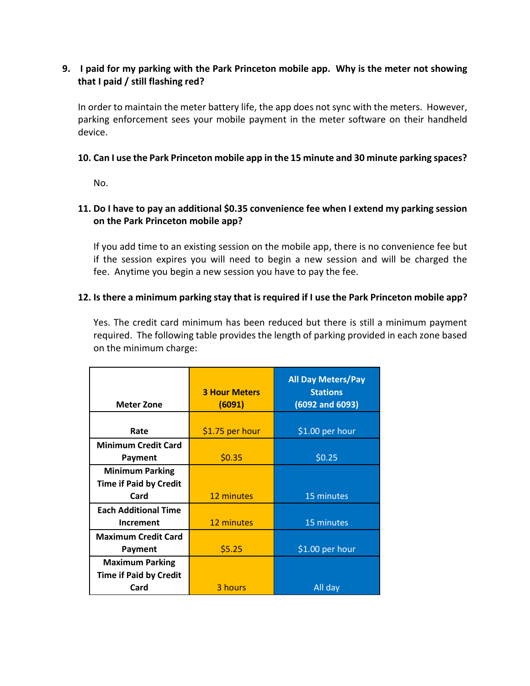## **9. I paid for my parking with the Park Princeton mobile app. Why is the meter not showing that I paid / still flashing red?**

In order to maintain the meter battery life, the app does not sync with the meters. However, parking enforcement sees your mobile payment in the meter software on their handheld device.

## **10. Can I use the Park Princeton mobile app in the 15 minute and 30 minute parking spaces?**

No.

# **11. Do I have to pay an additional \$0.35 convenience fee when I extend my parking session on the Park Princeton mobile app?**

If you add time to an existing session on the mobile app, there is no convenience fee but if the session expires you will need to begin a new session and will be charged the fee. Anytime you begin a new session you have to pay the fee.

## **12. Is there a minimum parking stay that is required if I use the Park Princeton mobile app?**

Yes. The credit card minimum has been reduced but there is still a minimum payment required. The following table provides the length of parking provided in each zone based on the minimum charge:

| <b>Meter Zone</b>             | <b>3 Hour Meters</b><br>(6091) | <b>All Day Meters/Pay</b><br><b>Stations</b><br>$(6092$ and $6093)$ |  |
|-------------------------------|--------------------------------|---------------------------------------------------------------------|--|
|                               |                                |                                                                     |  |
| Rate                          | \$1.75 per hour                | \$1.00 per hour                                                     |  |
| <b>Minimum Credit Card</b>    |                                |                                                                     |  |
| Payment                       | \$0.35                         | \$0.25                                                              |  |
| <b>Minimum Parking</b>        |                                |                                                                     |  |
| <b>Time if Paid by Credit</b> |                                |                                                                     |  |
| Card                          | 12 minutes                     | 15 minutes                                                          |  |
| <b>Each Additional Time</b>   |                                |                                                                     |  |
| <b>Increment</b>              | 12 minutes                     | 15 minutes                                                          |  |
| <b>Maximum Credit Card</b>    |                                |                                                                     |  |
| Payment                       | \$5.25                         | \$1.00 per hour                                                     |  |
| <b>Maximum Parking</b>        |                                |                                                                     |  |
| <b>Time if Paid by Credit</b> |                                |                                                                     |  |
| Card                          | 3 hours                        | All day                                                             |  |